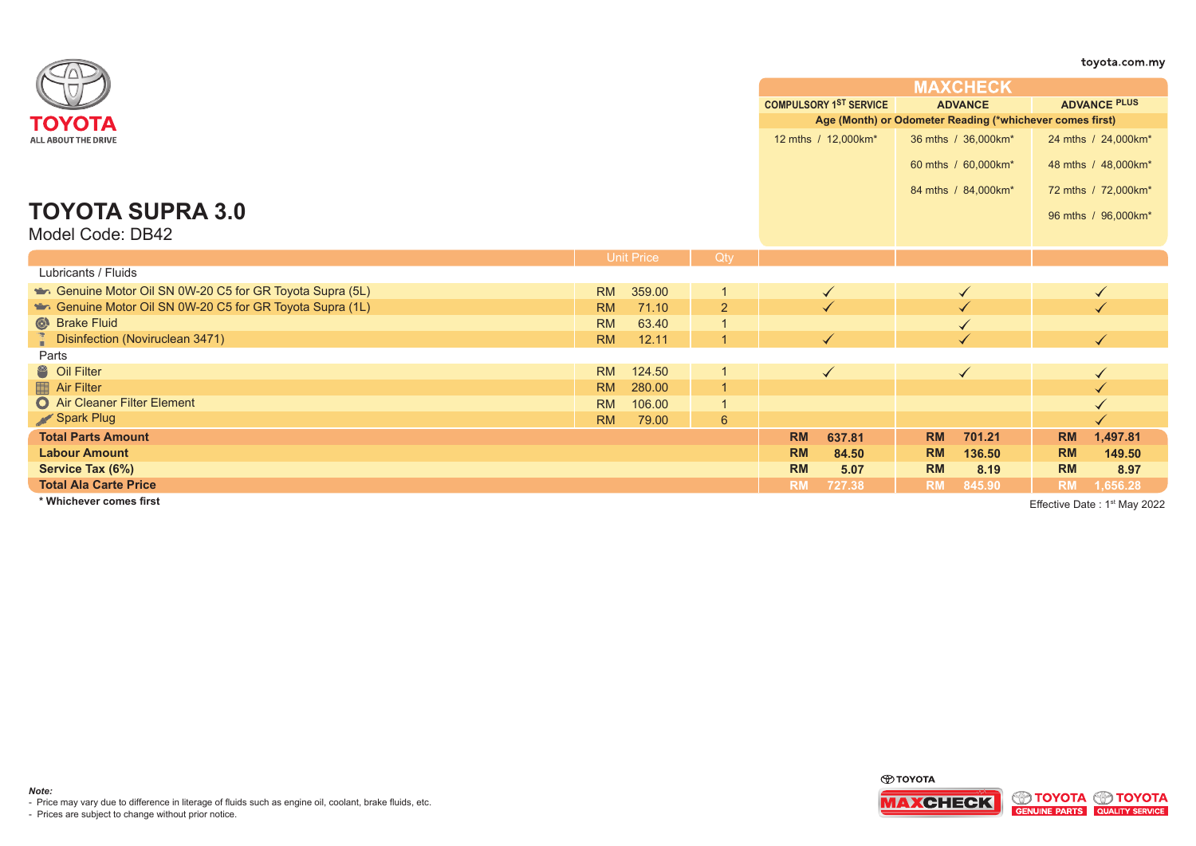|                                                        |                   |        |                |           |                                                          |           |                     |                     | toyota.com.my                            |  |
|--------------------------------------------------------|-------------------|--------|----------------|-----------|----------------------------------------------------------|-----------|---------------------|---------------------|------------------------------------------|--|
|                                                        |                   |        |                |           |                                                          |           | <b>MAXCHECK</b>     |                     |                                          |  |
|                                                        |                   |        |                |           | <b>COMPULSORY 1ST SERVICE</b><br><b>ADVANCE</b>          |           |                     | <b>ADVANCE PLUS</b> |                                          |  |
| ΤΟΥΟΤΑ                                                 |                   |        |                |           | Age (Month) or Odometer Reading (*whichever comes first) |           |                     |                     |                                          |  |
| ALL ABOUT THE DRIVE                                    |                   |        |                |           | 12 mths / 12,000km*                                      |           | 36 mths / 36,000km* |                     | 24 mths / 24,000km*                      |  |
|                                                        |                   |        |                |           |                                                          |           | 60 mths / 60,000km* |                     | 48 mths / 48,000km*                      |  |
|                                                        |                   |        |                |           |                                                          |           |                     |                     |                                          |  |
|                                                        |                   |        |                |           |                                                          |           | 84 mths / 84,000km* |                     | 72 mths / 72,000km*                      |  |
| <b>TOYOTA SUPRA 3.0</b>                                |                   |        |                |           |                                                          |           |                     |                     | 96 mths / 96,000km*                      |  |
| Model Code: DB42                                       |                   |        |                |           |                                                          |           |                     |                     |                                          |  |
|                                                        |                   |        |                |           |                                                          |           |                     |                     |                                          |  |
|                                                        | <b>Unit Price</b> |        | Qty            |           |                                                          |           |                     |                     |                                          |  |
| Lubricants / Fluids                                    |                   |        |                |           |                                                          |           |                     |                     |                                          |  |
| Genuine Motor Oil SN 0W-20 C5 for GR Toyota Supra (5L) | <b>RM</b>         | 359.00 | $\mathbf 1$    |           | $\checkmark$                                             |           |                     |                     | $\checkmark$                             |  |
| Genuine Motor Oil SN 0W-20 C5 for GR Toyota Supra (1L) | <b>RM</b>         | 71.10  | $\overline{2}$ |           |                                                          |           |                     |                     |                                          |  |
| Strake Fluid                                           | <b>RM</b>         | 63.40  |                |           |                                                          |           |                     |                     |                                          |  |
| Disinfection (Noviruclean 3471)                        | <b>RM</b>         | 12.11  | $\overline{1}$ |           |                                                          |           |                     |                     | $\blacktriangledown$                     |  |
| Parts                                                  |                   |        |                |           |                                                          |           |                     |                     |                                          |  |
| <sup>8</sup> Oil Filter                                | <b>RM</b>         | 124.50 |                |           | $\checkmark$                                             |           | $\checkmark$        |                     | $\checkmark$                             |  |
| Air Filter                                             | <b>RM</b>         | 280.00 | $\overline{1}$ |           |                                                          |           |                     |                     |                                          |  |
| Air Cleaner Filter Element                             | <b>RM</b>         | 106.00 |                |           |                                                          |           |                     |                     |                                          |  |
| Spark Plug                                             | <b>RM</b>         | 79.00  | 6              |           |                                                          |           |                     |                     |                                          |  |
| <b>Total Parts Amount</b>                              |                   |        |                | <b>RM</b> | 637.81                                                   | <b>RM</b> | 701.21              | <b>RM</b>           | 1,497.81                                 |  |
| <b>Labour Amount</b>                                   |                   |        |                | <b>RM</b> | 84.50                                                    | <b>RM</b> | 136.50              | <b>RM</b>           | 149.50                                   |  |
| Service Tax (6%)                                       |                   |        |                | <b>RM</b> | 5.07                                                     | <b>RM</b> | 8.19                | <b>RM</b>           | 8.97                                     |  |
| <b>Total Ala Carte Price</b>                           |                   |        |                | <b>RM</b> | 727.38                                                   | <b>RM</b> | 845.90              | <b>RM</b>           | 1,656.28                                 |  |
| * Whichever comes first                                |                   |        |                |           |                                                          |           |                     |                     | Effective Date: 1 <sup>st</sup> May 2022 |  |



- Price may vary due to difference in literage of fluids such as engine oil, coolant, brake fluids, etc.

- Prices are subject to change without prior notice.

*Note:*

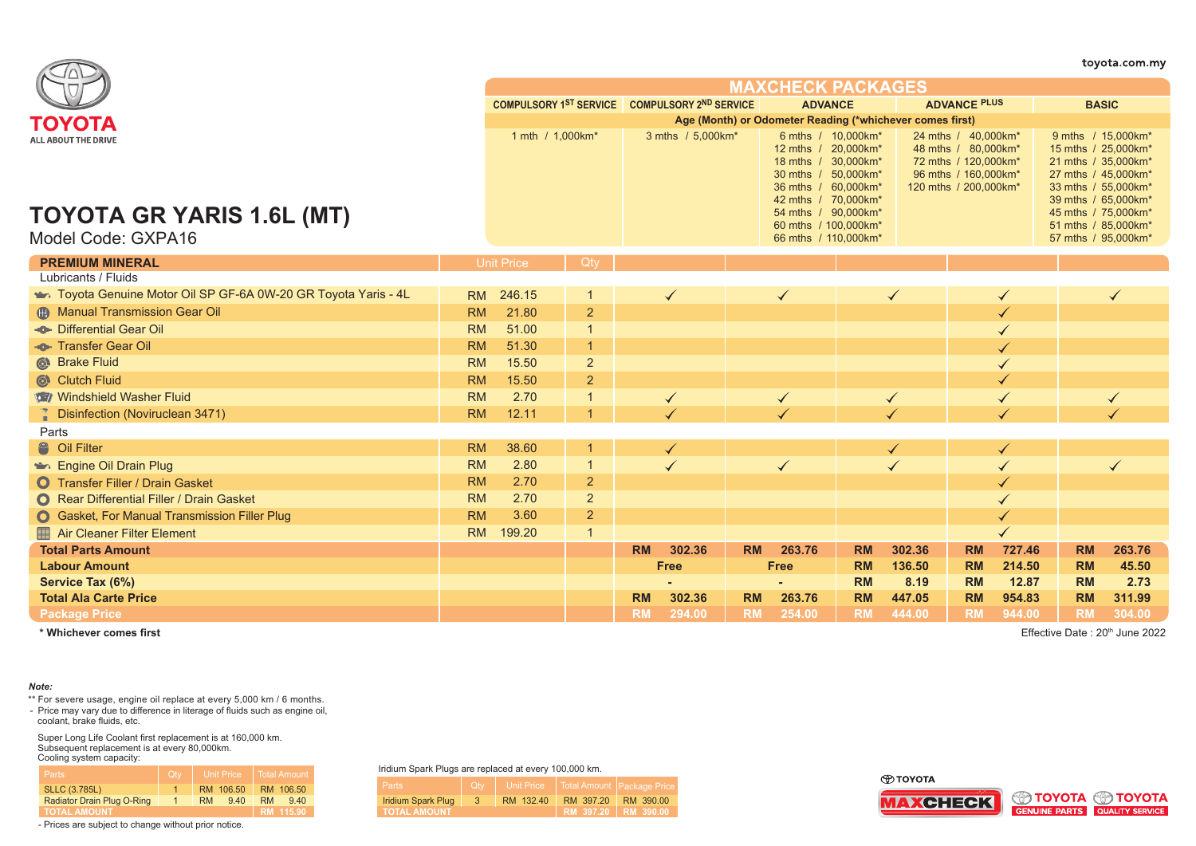|                                                              |           |                                               |                |           |                   |           |                                                                                                                               |           |                      |                                                                                                                     |        |                                                                                                                                       | toyota.com.my |
|--------------------------------------------------------------|-----------|-----------------------------------------------|----------------|-----------|-------------------|-----------|-------------------------------------------------------------------------------------------------------------------------------|-----------|----------------------|---------------------------------------------------------------------------------------------------------------------|--------|---------------------------------------------------------------------------------------------------------------------------------------|---------------|
|                                                              |           |                                               |                |           |                   |           | <b>MAXCHECK PACKAGES</b>                                                                                                      |           |                      |                                                                                                                     |        |                                                                                                                                       |               |
|                                                              |           | COMPULSORY 1ST SERVICE COMPULSORY 2ND SERVICE |                |           |                   |           | <b>ADVANCE</b>                                                                                                                |           |                      | <b>ADVANCE PLUS</b>                                                                                                 |        | <b>BASIC</b>                                                                                                                          |               |
| ΤΟΥΟΤΑ                                                       |           |                                               |                |           |                   |           | Age (Month) or Odometer Reading (*whichever comes first)                                                                      |           |                      |                                                                                                                     |        |                                                                                                                                       |               |
| <b>ALL ABOUT THE DRIVE</b>                                   |           | 1 mth / 1,000km*                              |                |           | 3 mths / 5,000km* |           | 6 mths / 10,000km*<br>12 mths / 20,000km*<br>18 mths / 30,000km*<br>30 mths $/$<br>36 mths / 60,000km*<br>42 mths / 70,000km* | 50,000km* |                      | 24 mths / 40,000km*<br>48 mths / 80,000km*<br>72 mths / 120,000km*<br>96 mths / 160,000km*<br>120 mths / 200,000km* |        | 9 mths / 15,000km*<br>15 mths / 25,000km*<br>21 mths / 35,000km*<br>27 mths / 45,000km*<br>33 mths / 55,000km*<br>39 mths / 65,000km* |               |
| TOYOTA GR YARIS 1.6L (MT)                                    |           |                                               |                |           |                   |           | 54 mths / 90,000km*                                                                                                           |           |                      |                                                                                                                     |        | 45 mths / 75,000km*                                                                                                                   |               |
| Model Code: GXPA16                                           |           |                                               |                |           |                   |           | 60 mths / 100,000km*<br>66 mths / 110,000km*                                                                                  |           |                      |                                                                                                                     |        | 51 mths / 85,000km*<br>57 mths / 95,000km*                                                                                            |               |
| <b>PREMIUM MINERAL</b>                                       |           | <b>Unit Price</b>                             | Qtv            |           |                   |           |                                                                                                                               |           |                      |                                                                                                                     |        |                                                                                                                                       |               |
| Lubricants / Fluids                                          |           |                                               |                |           |                   |           |                                                                                                                               |           |                      |                                                                                                                     |        |                                                                                                                                       |               |
| Toyota Genuine Motor Oil SP GF-6A 0W-20 GR Toyota Yaris - 4L | <b>RM</b> | 246.15                                        |                |           | $\checkmark$      |           | ✓                                                                                                                             |           |                      |                                                                                                                     |        |                                                                                                                                       |               |
| <b>Manual Transmission Gear Oil</b>                          | <b>RM</b> | 21.80                                         | $\overline{2}$ |           |                   |           |                                                                                                                               |           |                      |                                                                                                                     | ✓      |                                                                                                                                       |               |
| - <sup>®</sup> Differential Gear Oil                         | <b>RM</b> | 51.00                                         |                |           |                   |           |                                                                                                                               |           |                      |                                                                                                                     |        |                                                                                                                                       |               |
| <b>-®</b> Transfer Gear Oil                                  | <b>RM</b> | 51.30                                         |                |           |                   |           |                                                                                                                               |           |                      |                                                                                                                     |        |                                                                                                                                       |               |
| Strake Fluid                                                 | <b>RM</b> | 15.50                                         | $\overline{c}$ |           |                   |           |                                                                                                                               |           |                      |                                                                                                                     |        |                                                                                                                                       |               |
| Clutch Fluid                                                 | <b>RM</b> | 15.50                                         | $\overline{2}$ |           |                   |           |                                                                                                                               |           |                      |                                                                                                                     |        |                                                                                                                                       |               |
| Windshield Washer Fluid                                      | <b>RM</b> | 2.70                                          |                |           |                   |           | $\checkmark$                                                                                                                  |           | $\blacktriangledown$ |                                                                                                                     | ✓      |                                                                                                                                       |               |
| <b>Disinfection (Noviruclean 3471)</b>                       | <b>RM</b> | 12.11                                         |                |           |                   |           |                                                                                                                               |           |                      |                                                                                                                     |        |                                                                                                                                       |               |
| Parts                                                        |           |                                               |                |           |                   |           |                                                                                                                               |           |                      |                                                                                                                     |        |                                                                                                                                       |               |
| <sup>2</sup> Oil Filter                                      | <b>RM</b> | 38.60                                         |                |           | ✓                 |           |                                                                                                                               |           | ✔                    |                                                                                                                     | ✓      |                                                                                                                                       |               |
| Engine Oil Drain Plug                                        | <b>RM</b> | 2.80                                          |                |           |                   |           | $\checkmark$                                                                                                                  |           |                      |                                                                                                                     | ✓      |                                                                                                                                       |               |
| <b>O</b> Transfer Filler / Drain Gasket                      | <b>RM</b> | 2.70                                          | $\overline{2}$ |           |                   |           |                                                                                                                               |           |                      |                                                                                                                     |        |                                                                                                                                       |               |
| <b>O</b> Rear Differential Filler / Drain Gasket             | <b>RM</b> | 2.70                                          | 2              |           |                   |           |                                                                                                                               |           |                      |                                                                                                                     |        |                                                                                                                                       |               |
| <b>O</b> Gasket, For Manual Transmission Filler Plug         | <b>RM</b> | 3.60                                          | $\overline{2}$ |           |                   |           |                                                                                                                               |           |                      |                                                                                                                     |        |                                                                                                                                       |               |
| Air Cleaner Filter Element                                   | <b>RM</b> | 199.20                                        | $\overline{1}$ |           |                   |           |                                                                                                                               |           |                      |                                                                                                                     |        |                                                                                                                                       |               |
| <b>Total Parts Amount</b>                                    |           |                                               |                | <b>RM</b> | 302.36            | <b>RM</b> | 263.76                                                                                                                        | <b>RM</b> | 302.36               | <b>RM</b>                                                                                                           | 727.46 | <b>RM</b>                                                                                                                             | 263.76        |
| <b>Labour Amount</b>                                         |           |                                               |                |           | <b>Free</b>       |           | <b>Free</b>                                                                                                                   | <b>RM</b> | 136.50               | <b>RM</b>                                                                                                           | 214.50 | <b>RM</b>                                                                                                                             | 45.50         |
| Service Tax (6%)                                             |           |                                               |                |           |                   |           |                                                                                                                               | <b>RM</b> | 8.19                 | <b>RM</b>                                                                                                           | 12.87  | <b>RM</b>                                                                                                                             | 2.73          |
| <b>Total Ala Carte Price</b>                                 |           |                                               |                | <b>RM</b> | 302.36            | <b>RM</b> | 263.76                                                                                                                        | <b>RM</b> | 447.05               | <b>RM</b>                                                                                                           | 954.83 | <b>RM</b>                                                                                                                             | 311.99        |
| <b>Package Price</b>                                         |           |                                               |                | <b>RM</b> | 294.00            | <b>RM</b> | 254.00                                                                                                                        | <b>RM</b> | 444.00               | <b>RM</b>                                                                                                           | 944.00 | <b>RM</b>                                                                                                                             | 304.00        |

## *Note:*

\*\* For severe usage, engine oil replace at every 5,000 km / 6 months.

- Price may vary due to difference in literage of fluids such as engine oil, coolant, brake fluids, etc.

Super Long Life Coolant first replacement is at 160,000 km. Subsequent replacement is at every 80,000km. Cooling system capacity:

| <b>Parts</b>               | <b>Otv</b> | <b>Unit Price</b> | Total Amount     |  |  |  |
|----------------------------|------------|-------------------|------------------|--|--|--|
| <b>SLLC (3.785L)</b>       |            | RM 106.50         | RM 106.50        |  |  |  |
| Radiator Drain Plug O-Ring |            | 9.40<br><b>RM</b> | <b>RM</b><br>940 |  |  |  |
| <b>TOTAL AMOUNT</b>        |            |                   | RM 115.90        |  |  |  |

- Prices are subject to change without prior notice.

Iridium Spark Plugs are replaced at every 100,000 km.

| <b>Parts</b>        | <b>Ctv</b> |           | Unit Price   Total Amount   Package Price, |           |
|---------------------|------------|-----------|--------------------------------------------|-----------|
| Iridium Spark Plug  | -3         | RM 132.40 | RM 397.20                                  | RM 390.00 |
| <b>TOTAL AMOUNT</b> |            |           | RM 397.20 RM 390.00                        |           |
|                     |            |           |                                            |           |

**O TOYOTA** 





**\* Whichever comes first** Effective Date : 20th June 2022